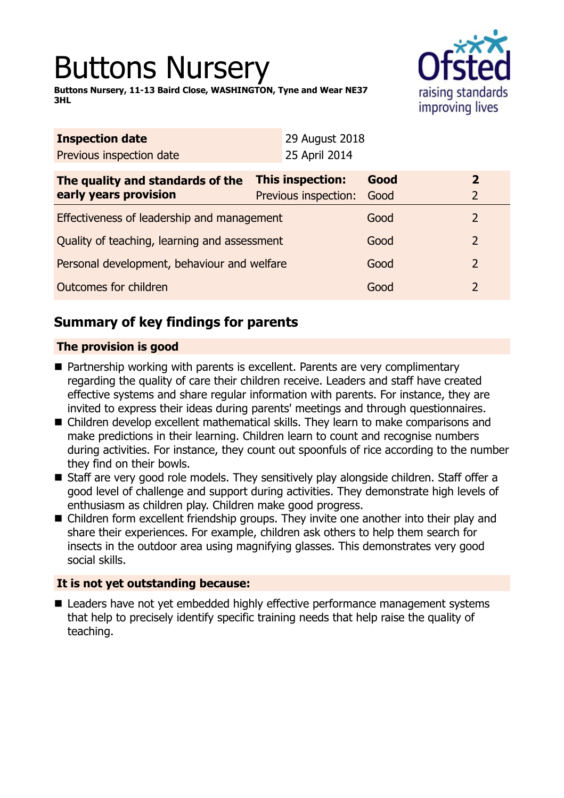# Buttons Nursery

**Buttons Nursery, 11-13 Baird Close, WASHINGTON, Tyne and Wear NE37 3HL**



| <b>Inspection date</b>                       |               |                                                 |                |                                |
|----------------------------------------------|---------------|-------------------------------------------------|----------------|--------------------------------|
|                                              | 25 April 2014 |                                                 |                |                                |
|                                              |               | Good<br>Good                                    |                | $\mathbf{2}$<br>$\overline{2}$ |
| Effectiveness of leadership and management   |               | Good                                            |                | 2                              |
| Quality of teaching, learning and assessment |               | Good                                            |                | $\overline{2}$                 |
| Personal development, behaviour and welfare  |               | Good                                            |                | 2                              |
| Outcomes for children                        |               | Good                                            |                | 2                              |
|                                              |               | <b>This inspection:</b><br>Previous inspection: | 29 August 2018 |                                |

## **Summary of key findings for parents**

## **The provision is good**

- Partnership working with parents is excellent. Parents are very complimentary regarding the quality of care their children receive. Leaders and staff have created effective systems and share regular information with parents. For instance, they are invited to express their ideas during parents' meetings and through questionnaires.
- Children develop excellent mathematical skills. They learn to make comparisons and make predictions in their learning. Children learn to count and recognise numbers during activities. For instance, they count out spoonfuls of rice according to the number they find on their bowls.
- Staff are very good role models. They sensitively play alongside children. Staff offer a good level of challenge and support during activities. They demonstrate high levels of enthusiasm as children play. Children make good progress.
- Children form excellent friendship groups. They invite one another into their play and share their experiences. For example, children ask others to help them search for insects in the outdoor area using magnifying glasses. This demonstrates very good social skills.

## **It is not yet outstanding because:**

■ Leaders have not yet embedded highly effective performance management systems that help to precisely identify specific training needs that help raise the quality of teaching.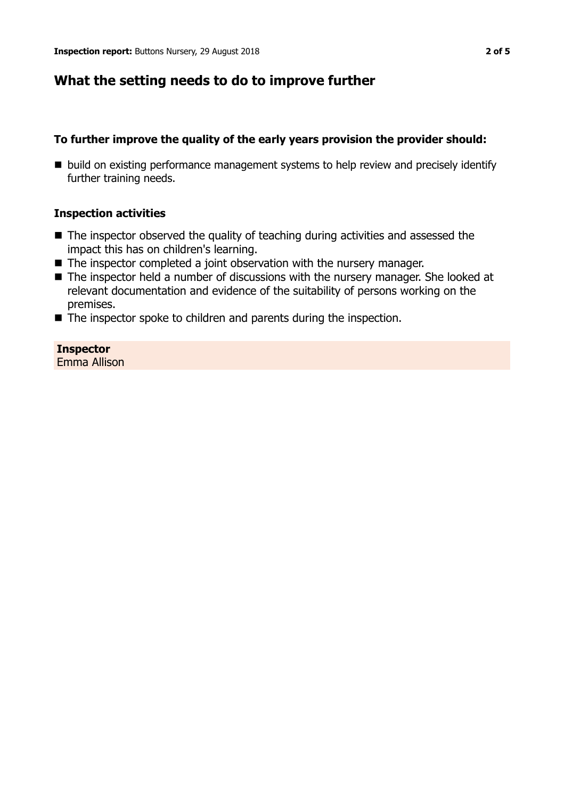## **What the setting needs to do to improve further**

## **To further improve the quality of the early years provision the provider should:**

■ build on existing performance management systems to help review and precisely identify further training needs.

## **Inspection activities**

- $\blacksquare$  The inspector observed the quality of teaching during activities and assessed the impact this has on children's learning.
- The inspector completed a joint observation with the nursery manager.
- The inspector held a number of discussions with the nursery manager. She looked at relevant documentation and evidence of the suitability of persons working on the premises.
- $\blacksquare$  The inspector spoke to children and parents during the inspection.

**Inspector** Emma Allison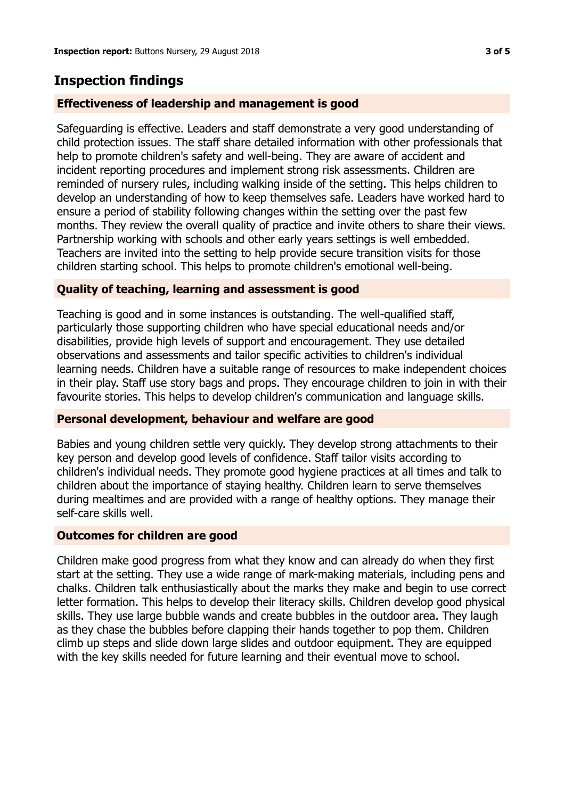## **Inspection findings**

### **Effectiveness of leadership and management is good**

Safeguarding is effective. Leaders and staff demonstrate a very good understanding of child protection issues. The staff share detailed information with other professionals that help to promote children's safety and well-being. They are aware of accident and incident reporting procedures and implement strong risk assessments. Children are reminded of nursery rules, including walking inside of the setting. This helps children to develop an understanding of how to keep themselves safe. Leaders have worked hard to ensure a period of stability following changes within the setting over the past few months. They review the overall quality of practice and invite others to share their views. Partnership working with schools and other early years settings is well embedded. Teachers are invited into the setting to help provide secure transition visits for those children starting school. This helps to promote children's emotional well-being.

#### **Quality of teaching, learning and assessment is good**

Teaching is good and in some instances is outstanding. The well-qualified staff, particularly those supporting children who have special educational needs and/or disabilities, provide high levels of support and encouragement. They use detailed observations and assessments and tailor specific activities to children's individual learning needs. Children have a suitable range of resources to make independent choices in their play. Staff use story bags and props. They encourage children to join in with their favourite stories. This helps to develop children's communication and language skills.

#### **Personal development, behaviour and welfare are good**

Babies and young children settle very quickly. They develop strong attachments to their key person and develop good levels of confidence. Staff tailor visits according to children's individual needs. They promote good hygiene practices at all times and talk to children about the importance of staying healthy. Children learn to serve themselves during mealtimes and are provided with a range of healthy options. They manage their self-care skills well.

#### **Outcomes for children are good**

Children make good progress from what they know and can already do when they first start at the setting. They use a wide range of mark-making materials, including pens and chalks. Children talk enthusiastically about the marks they make and begin to use correct letter formation. This helps to develop their literacy skills. Children develop good physical skills. They use large bubble wands and create bubbles in the outdoor area. They laugh as they chase the bubbles before clapping their hands together to pop them. Children climb up steps and slide down large slides and outdoor equipment. They are equipped with the key skills needed for future learning and their eventual move to school.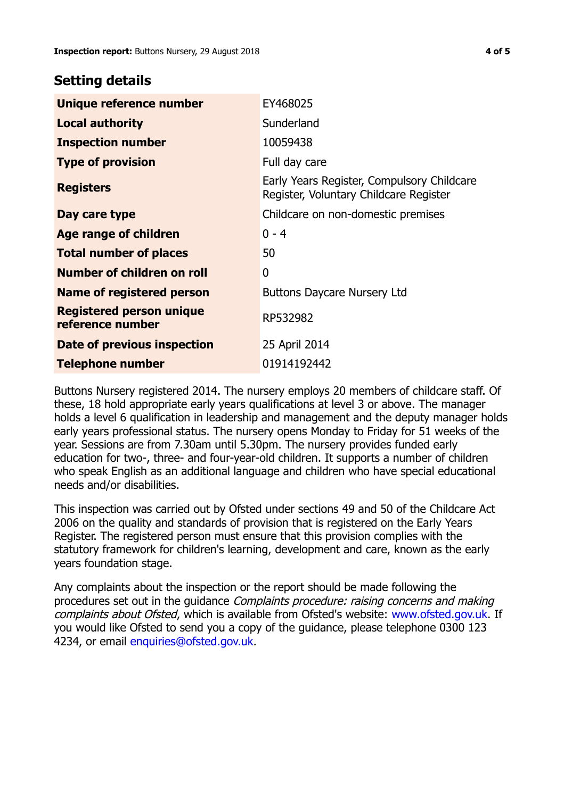## **Setting details**

| Unique reference number                             | EY468025                                                                             |  |
|-----------------------------------------------------|--------------------------------------------------------------------------------------|--|
| <b>Local authority</b>                              | Sunderland                                                                           |  |
| <b>Inspection number</b>                            | 10059438                                                                             |  |
| <b>Type of provision</b>                            | Full day care                                                                        |  |
| <b>Registers</b>                                    | Early Years Register, Compulsory Childcare<br>Register, Voluntary Childcare Register |  |
| Day care type                                       | Childcare on non-domestic premises                                                   |  |
| <b>Age range of children</b>                        | $0 - 4$                                                                              |  |
| <b>Total number of places</b>                       | 50                                                                                   |  |
| Number of children on roll                          | $\mathbf 0$                                                                          |  |
| Name of registered person                           | <b>Buttons Daycare Nursery Ltd</b>                                                   |  |
| <b>Registered person unique</b><br>reference number | RP532982                                                                             |  |
| Date of previous inspection                         | 25 April 2014                                                                        |  |
| <b>Telephone number</b>                             | 01914192442                                                                          |  |

Buttons Nursery registered 2014. The nursery employs 20 members of childcare staff. Of these, 18 hold appropriate early years qualifications at level 3 or above. The manager holds a level 6 qualification in leadership and management and the deputy manager holds early years professional status. The nursery opens Monday to Friday for 51 weeks of the year. Sessions are from 7.30am until 5.30pm. The nursery provides funded early education for two-, three- and four-year-old children. It supports a number of children who speak English as an additional language and children who have special educational needs and/or disabilities.

This inspection was carried out by Ofsted under sections 49 and 50 of the Childcare Act 2006 on the quality and standards of provision that is registered on the Early Years Register. The registered person must ensure that this provision complies with the statutory framework for children's learning, development and care, known as the early years foundation stage.

Any complaints about the inspection or the report should be made following the procedures set out in the guidance Complaints procedure: raising concerns and making complaints about Ofsted, which is available from Ofsted's website: www.ofsted.gov.uk. If you would like Ofsted to send you a copy of the guidance, please telephone 0300 123 4234, or email [enquiries@ofsted.gov.uk.](mailto:enquiries@ofsted.gov.uk)